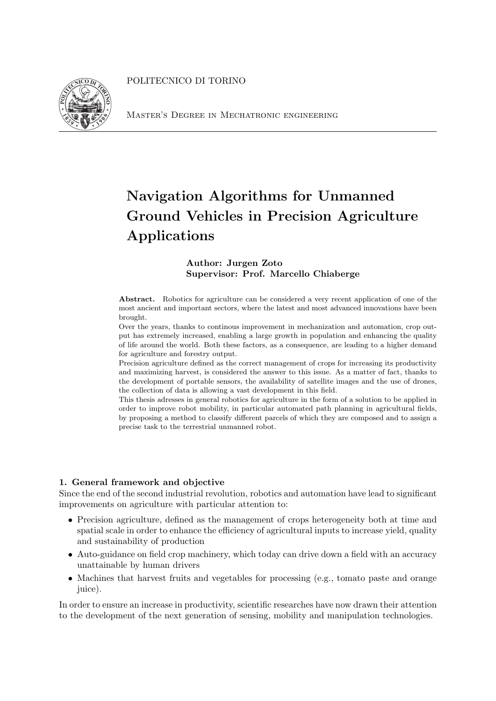POLITECNICO DI TORINO



Master's Degree in Mechatronic engineering

# Navigation Algorithms for Unmanned Ground Vehicles in Precision Agriculture Applications

## Author: Jurgen Zoto Supervisor: Prof. Marcello Chiaberge

Abstract. Robotics for agriculture can be considered a very recent application of one of the most ancient and important sectors, where the latest and most advanced innovations have been brought.

Over the years, thanks to continous improvement in mechanization and automation, crop output has extremely increased, enabling a large growth in population and enhancing the quality of life around the world. Both these factors, as a consequence, are leading to a higher demand for agriculture and forestry output.

Precision agriculture defined as the correct management of crops for increasing its productivity and maximizing harvest, is considered the answer to this issue. As a matter of fact, thanks to the development of portable sensors, the availability of satellite images and the use of drones, the collection of data is allowing a vast development in this field.

This thesis adresses in general robotics for agriculture in the form of a solution to be applied in order to improve robot mobility, in particular automated path planning in agricultural fields, by proposing a method to classify different parcels of which they are composed and to assign a precise task to the terrestrial unmanned robot.

### 1. General framework and objective

Since the end of the second industrial revolution, robotics and automation have lead to significant improvements on agriculture with particular attention to:

- Precision agriculture, defined as the management of crops heterogeneity both at time and spatial scale in order to enhance the efficiency of agricultural inputs to increase yield, quality and sustainability of production
- Auto-guidance on field crop machinery, which today can drive down a field with an accuracy unattainable by human drivers
- Machines that harvest fruits and vegetables for processing (e.g., tomato paste and orange juice).

In order to ensure an increase in productivity, scientific researches have now drawn their attention to the development of the next generation of sensing, mobility and manipulation technologies.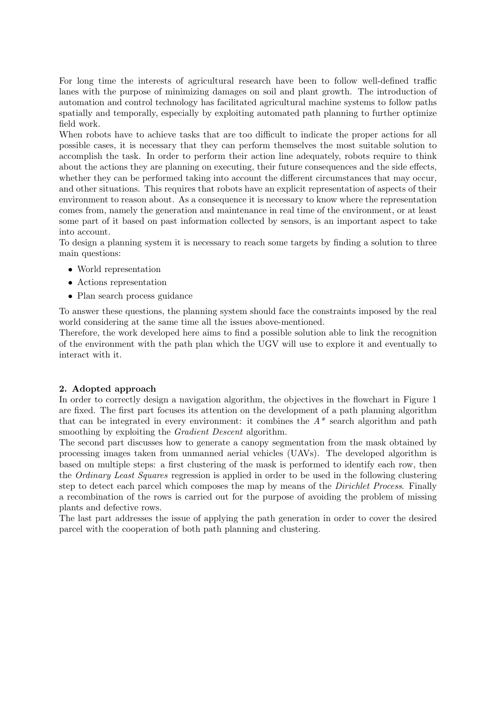For long time the interests of agricultural research have been to follow well-defined traffic lanes with the purpose of minimizing damages on soil and plant growth. The introduction of automation and control technology has facilitated agricultural machine systems to follow paths spatially and temporally, especially by exploiting automated path planning to further optimize field work.

When robots have to achieve tasks that are too difficult to indicate the proper actions for all possible cases, it is necessary that they can perform themselves the most suitable solution to accomplish the task. In order to perform their action line adequately, robots require to think about the actions they are planning on executing, their future consequences and the side effects, whether they can be performed taking into account the different circumstances that may occur. and other situations. This requires that robots have an explicit representation of aspects of their environment to reason about. As a consequence it is necessary to know where the representation comes from, namely the generation and maintenance in real time of the environment, or at least some part of it based on past information collected by sensors, is an important aspect to take into account.

To design a planning system it is necessary to reach some targets by finding a solution to three main questions:

- World representation
- Actions representation
- Plan search process guidance

To answer these questions, the planning system should face the constraints imposed by the real world considering at the same time all the issues above-mentioned.

Therefore, the work developed here aims to find a possible solution able to link the recognition of the environment with the path plan which the UGV will use to explore it and eventually to interact with it.

#### 2. Adopted approach

In order to correctly design a navigation algorithm, the objectives in the flowchart in Figure 1 are fixed. The first part focuses its attention on the development of a path planning algorithm that can be integrated in every environment: it combines the  $A^*$  search algorithm and path smoothing by exploiting the *Gradient Descent* algorithm.

The second part discusses how to generate a canopy segmentation from the mask obtained by processing images taken from unmanned aerial vehicles (UAVs). The developed algorithm is based on multiple steps: a first clustering of the mask is performed to identify each row, then the Ordinary Least Squares regression is applied in order to be used in the following clustering step to detect each parcel which composes the map by means of the *Dirichlet Process*. Finally a recombination of the rows is carried out for the purpose of avoiding the problem of missing plants and defective rows.

The last part addresses the issue of applying the path generation in order to cover the desired parcel with the cooperation of both path planning and clustering.